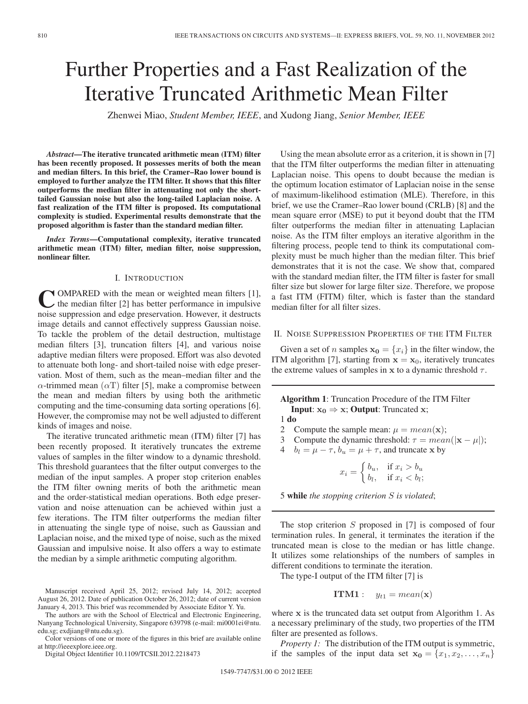# Further Properties and a Fast Realization of the Iterative Truncated Arithmetic Mean Filter

Zhenwei Miao, *Student Member, IEEE*, and Xudong Jiang, *Senior Member, IEEE*

*Abstract***—The iterative truncated arithmetic mean (ITM) filter has been recently proposed. It possesses merits of both the mean and median filters. In this brief, the Cramer–Rao lower bound is employed to further analyze the ITM filter. It shows that this filter outperforms the median filter in attenuating not only the shorttailed Gaussian noise but also the long-tailed Laplacian noise. A fast realization of the ITM filter is proposed. Its computational complexity is studied. Experimental results demonstrate that the proposed algorithm is faster than the standard median filter.**

*Index Terms***—Computational complexity, iterative truncated arithmetic mean (ITM) filter, median filter, noise suppression, nonlinear filter.**

## I. INTRODUCTION

COMPARED with the mean or weighted mean filters [1],<br>the median filter [2] has better performance in impulsive noise suppression and edge preservation. However, it destructs image details and cannot effectively suppress Gaussian noise. To tackle the problem of the detail destruction, multistage median filters [3], truncation filters [4], and various noise adaptive median filters were proposed. Effort was also devoted to attenuate both long- and short-tailed noise with edge preservation. Most of them, such as the mean–median filter and the  $\alpha$ -trimmed mean  $(\alpha T)$  filter [5], make a compromise between the mean and median filters by using both the arithmetic computing and the time-consuming data sorting operations [6]. However, the compromise may not be well adjusted to different kinds of images and noise.

The iterative truncated arithmetic mean (ITM) filter [7] has been recently proposed. It iteratively truncates the extreme values of samples in the filter window to a dynamic threshold. This threshold guarantees that the filter output converges to the median of the input samples. A proper stop criterion enables the ITM filter owning merits of both the arithmetic mean and the order-statistical median operations. Both edge preservation and noise attenuation can be achieved within just a few iterations. The ITM filter outperforms the median filter in attenuating the single type of noise, such as Gaussian and Laplacian noise, and the mixed type of noise, such as the mixed Gaussian and impulsive noise. It also offers a way to estimate the median by a simple arithmetic computing algorithm.

Manuscript received April 25, 2012; revised July 14, 2012; accepted August 26, 2012. Date of publication October 26, 2012; date of current version January 4, 2013. This brief was recommended by Associate Editor Y. Yu.

The authors are with the School of Electrical and Electronic Engineering, Nanyang Technological University, Singapore 639798 (e-mail: mi0001ei@ntu. edu.sg; exdjiang@ntu.edu.sg).

Color versions of one or more of the figures in this brief are available online at http://ieeexplore.ieee.org.

Digital Object Identifier 10.1109/TCSII.2012.2218473

Using the mean absolute error as a criterion, it is shown in [7] that the ITM filter outperforms the median filter in attenuating Laplacian noise. This opens to doubt because the median is the optimum location estimator of Laplacian noise in the sense of maximum-likelihood estimation (MLE). Therefore, in this brief, we use the Cramer–Rao lower bound (CRLB) [8] and the mean square error (MSE) to put it beyond doubt that the ITM filter outperforms the median filter in attenuating Laplacian noise. As the ITM filter employs an iterative algorithm in the filtering process, people tend to think its computational complexity must be much higher than the median filter. This brief demonstrates that it is not the case. We show that, compared with the standard median filter, the ITM filter is faster for small filter size but slower for large filter size. Therefore, we propose a fast ITM (FITM) filter, which is faster than the standard median filter for all filter sizes.

### II. NOISE SUPPRESSION PROPERTIES OF THE ITM FILTER

Given a set of *n* samples  $\mathbf{x}_0 = \{x_i\}$  in the filter window, the ITM algorithm [7], starting from  $x = x_0$ , iteratively truncates the extreme values of samples in **x** to a dynamic threshold  $\tau$ .

**Algorithm 1**: Truncation Procedure of the ITM Filter **Input**:  $x_0 \Rightarrow x$ ; **Output**: Truncated **x**;

1 **do**

- 2 Compute the sample mean:  $\mu = mean(\mathbf{x})$ ;
- 3 Compute the dynamic threshold:  $\tau = mean(|\mathbf{x} \mu|)$ ;

4 
$$
b_l = \mu - \tau
$$
,  $b_u = \mu + \tau$ , and truncate x by

$$
x_i = \begin{cases} b_u, & \text{if } x_i > b_u \\ b_l, & \text{if } x_i < b_l \end{cases}
$$

5 **while** *the stopping criterion* S *is violated*;

The stop criterion S proposed in [7] is composed of four termination rules. In general, it terminates the iteration if the truncated mean is close to the median or has little change. It utilizes some relationships of the numbers of samples in different conditions to terminate the iteration.

The type-I output of the ITM filter [7] is

**ITM1** :  $y_{t1} = mean(x)$ 

where **x** is the truncated data set output from Algorithm 1. As a necessary preliminary of the study, two properties of the ITM filter are presented as follows.

*Property 1:* The distribution of the ITM output is symmetric, if the samples of the input data set  $\mathbf{x_0} = \{x_1, x_2, \ldots, x_n\}$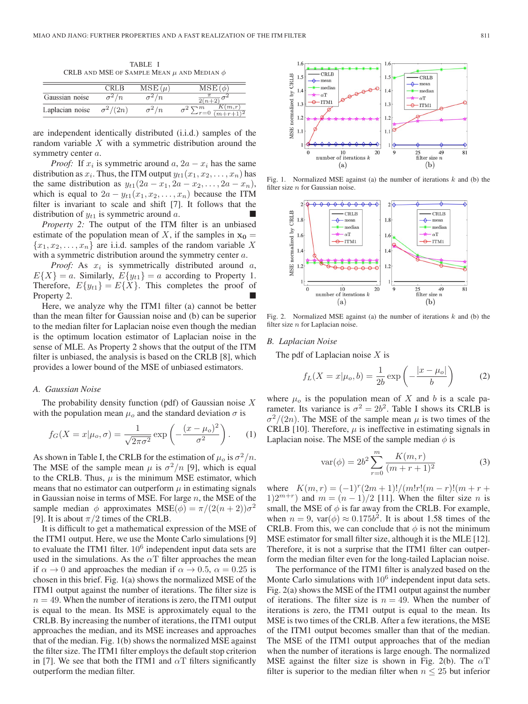TABLE I CRLB AND MSE OF SAMPLE MEAN  $\mu$  and Median  $\phi$ 

|                 | CRL B           | $MSE(\mu)$   | MSE(φ                                               |
|-----------------|-----------------|--------------|-----------------------------------------------------|
| Gaussian noise  | $\sigma^2/n$    | $\sigma^2/n$ | $\frac{2(n+2)}{2}$                                  |
| Laplacian noise | $\sigma^2/(2n)$ | $\sigma^2/n$ | K(m,r)<br>$\sum_{r=0}^{m} \frac{K(m,r)}{(m+r+1)^2}$ |

are independent identically distributed (i.i.d.) samples of the random variable  $X$  with a symmetric distribution around the symmetry center a.

*Proof:* If  $x_i$  is symmetric around  $a, 2a - x_i$  has the same distribution as  $x_i$ . Thus, the ITM output  $y_{t1}(x_1, x_2, \ldots, x_n)$  has the same distribution as  $y_{t1}(2a - x_1, 2a - x_2, \ldots, 2a - x_n)$ , which is equal to  $2a - y_{t1}(x_1, x_2,...,x_n)$  because the ITM filter is invariant to scale and shift [7]. It follows that the distribution of  $y_{t1}$  is symmetric around a.

*Property 2:* The output of the ITM filter is an unbiased estimate of the population mean of X, if the samples in  $x_0 =$  ${x_1, x_2,...,x_n}$  are i.i.d. samples of the random variable X with a symmetric distribution around the symmetry center a.

*Proof:* As  $x_i$  is symmetrically distributed around  $a$ ,  $E{X} = a$ . Similarly,  $E{y_{t1}} = a$  according to Property 1. Therefore,  $E\{y_{t1}\} = E\{X\}$ . This completes the proof of Property 2.

Here, we analyze why the ITM1 filter (a) cannot be better than the mean filter for Gaussian noise and (b) can be superior to the median filter for Laplacian noise even though the median is the optimum location estimator of Laplacian noise in the sense of MLE. As Property 2 shows that the output of the ITM filter is unbiased, the analysis is based on the CRLB [8], which provides a lower bound of the MSE of unbiased estimators.

#### *A. Gaussian Noise*

The probability density function (pdf) of Gaussian noise  $X$ with the population mean  $\mu_o$  and the standard deviation  $\sigma$  is

$$
f_G(X = x | \mu_o, \sigma) = \frac{1}{\sqrt{2\pi\sigma^2}} \exp\left(-\frac{(x - \mu_o)^2}{\sigma^2}\right). \tag{1}
$$

As shown in Table I, the CRLB for the estimation of  $\mu_o$  is  $\sigma^2/n$ . The MSE of the sample mean  $\mu$  is  $\sigma^2/n$  [9], which is equal to the CRLB. Thus,  $\mu$  is the minimum MSE estimator, which means that no estimator can outperform  $\mu$  in estimating signals in Gaussian noise in terms of MSE. For large  $n$ , the MSE of the sample median  $\phi$  approximates  $MSE(\phi) = \pi/(2(n+2))\sigma^2$ [9]. It is about  $\pi/2$  times of the CRLB.

It is difficult to get a mathematical expression of the MSE of the ITM1 output. Here, we use the Monte Carlo simulations [9] to evaluate the ITM1 filter.  $10<sup>6</sup>$  independent input data sets are used in the simulations. As the  $\alpha$ T filter approaches the mean if  $\alpha \to 0$  and approaches the median if  $\alpha \to 0.5$ ,  $\alpha = 0.25$  is chosen in this brief. Fig. 1(a) shows the normalized MSE of the ITM1 output against the number of iterations. The filter size is  $n = 49$ . When the number of iterations is zero, the ITM1 output is equal to the mean. Its MSE is approximately equal to the CRLB. By increasing the number of iterations, the ITM1 output approaches the median, and its MSE increases and approaches that of the median. Fig. 1(b) shows the normalized MSE against the filter size. The ITM1 filter employs the default stop criterion in [7]. We see that both the ITM1 and  $\alpha$ T filters significantly outperform the median filter.



Fig. 1. Normalized MSE against (a) the number of iterations  $k$  and (b) the filter size  $n$  for Gaussian noise.



Fig. 2. Normalized MSE against (a) the number of iterations  $k$  and (b) the filter size  $n$  for Laplacian noise.

#### *B. Laplacian Noise*

The pdf of Laplacian noise  $X$  is

$$
f_L(X = x | \mu_o, b) = \frac{1}{2b} \exp\left(-\frac{|x - \mu_o|}{b}\right) \tag{2}
$$

where  $\mu_o$  is the population mean of X and b is a scale parameter. Its variance is  $\sigma^2 = 2b^2$ . Table I shows its CRLB is  $\sigma^2/(2n)$ . The MSE of the sample mean  $\mu$  is two times of the CRLB [10]. Therefore,  $\mu$  is ineffective in estimating signals in Laplacian noise. The MSE of the sample median  $\phi$  is

$$
var(\phi) = 2b^2 \sum_{r=0}^{m} \frac{K(m,r)}{(m+r+1)^2}
$$
 (3)

where  $K(m, r) = (-1)^{r}(2m + 1)!/(m!r!(m - r)!(m + r +$ 1)2<sup>m+r</sup>) and  $m = (n - 1)/2$  [11]. When the filter size n is small, the MSE of  $\phi$  is far away from the CRLB. For example, when  $n = 9$ ,  $var(\phi) \approx 0.175b^2$ . It is about 1.58 times of the CRLB. From this, we can conclude that  $\phi$  is not the minimum MSE estimator for small filter size, although it is the MLE [12]. Therefore, it is not a surprise that the ITM1 filter can outperform the median filter even for the long-tailed Laplacian noise.

The performance of the ITM1 filter is analyzed based on the Monte Carlo simulations with  $10<sup>6</sup>$  independent input data sets. Fig. 2(a) shows the MSE of the ITM1 output against the number of iterations. The filter size is  $n = 49$ . When the number of iterations is zero, the ITM1 output is equal to the mean. Its MSE is two times of the CRLB. After a few iterations, the MSE of the ITM1 output becomes smaller than that of the median. The MSE of the ITM1 output approaches that of the median when the number of iterations is large enough. The normalized MSE against the filter size is shown in Fig. 2(b). The  $\alpha$ T filter is superior to the median filter when  $n \leq 25$  but inferior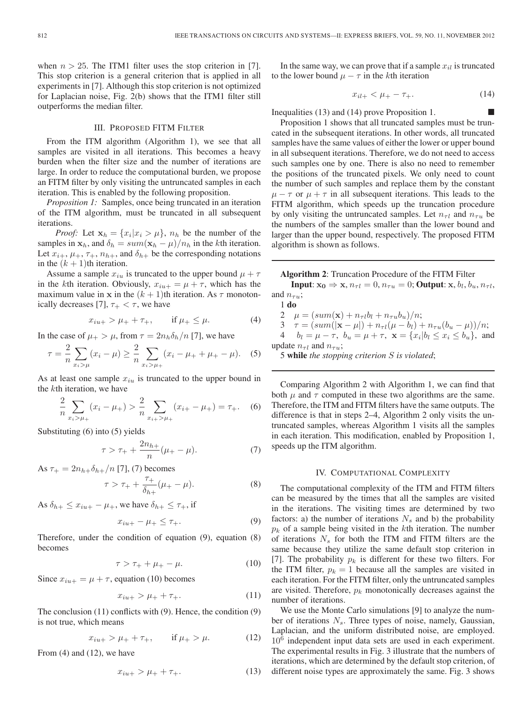when  $n > 25$ . The ITM1 filter uses the stop criterion in [7]. This stop criterion is a general criterion that is applied in all experiments in [7]. Although this stop criterion is not optimized for Laplacian noise, Fig. 2(b) shows that the ITM1 filter still outperforms the median filter.

# III. PROPOSED FITM FILTER

From the ITM algorithm (Algorithm 1), we see that all samples are visited in all iterations. This becomes a heavy burden when the filter size and the number of iterations are large. In order to reduce the computational burden, we propose an FITM filter by only visiting the untruncated samples in each iteration. This is enabled by the following proposition.

*Proposition 1:* Samples, once being truncated in an iteration of the ITM algorithm, must be truncated in all subsequent iterations.

*Proof:* Let  $\mathbf{x}_h = \{x_i | x_i > \mu\}$ ,  $n_h$  be the number of the samples in  $\mathbf{x}_h$ , and  $\delta_h = \frac{sum(\mathbf{x}_h - \mu)}{n_h}$  in the kth iteration. Let  $x_{i+}, \mu_+, \tau_+, n_{h+},$  and  $\delta_{h+}$  be the corresponding notations in the  $(k + 1)$ th iteration.

Assume a sample  $x_{iu}$  is truncated to the upper bound  $\mu + \tau$ in the kth iteration. Obviously,  $x_{iu+} = \mu + \tau$ , which has the maximum value in **x** in the  $(k + 1)$ th iteration. As  $\tau$  monotonically decreases [7],  $\tau_{+} < \tau$ , we have

$$
x_{iu+} > \mu_{+} + \tau_{+}, \qquad \text{if } \mu_{+} \le \mu. \tag{4}
$$

In the case of  $\mu_+ > \mu$ , from  $\tau = 2n_h \delta_h / n$  [7], we have

$$
\tau = \frac{2}{n} \sum_{x_i > \mu} (x_i - \mu) \ge \frac{2}{n} \sum_{x_i > \mu_+} (x_i - \mu_+ + \mu_+ - \mu). \tag{5}
$$

As at least one sample  $x_{iu}$  is truncated to the upper bound in the kth iteration, we have

$$
\frac{2}{n} \sum_{x_i > \mu_+} (x_i - \mu_+) > \frac{2}{n} \sum_{x_i > \mu_+} (x_{i+} - \mu_+) = \tau_+. \quad (6)
$$

Substituting (6) into (5) yields

$$
\tau > \tau_{+} + \frac{2n_{h+}}{n}(\mu_{+} - \mu). \tag{7}
$$

As  $\tau_{+} = 2n_{h+} \delta_{h+}/n$  [7], (7) becomes

$$
\tau > \tau_+ + \frac{\tau_+}{\delta_{h+}} (\mu_+ - \mu). \tag{8}
$$

As  $\delta_{h+} \leq x_{iu+} - \mu_+$ , we have  $\delta_{h+} \leq \tau_+$ , if

$$
x_{iu+} - \mu_+ \leq \tau_+.\tag{9}
$$

Therefore, under the condition of equation (9), equation (8) becomes

$$
\tau > \tau_+ + \mu_+ - \mu. \tag{10}
$$

Since  $x_{iu+} = \mu + \tau$ , equation (10) becomes

$$
x_{iu+} > \mu_+ + \tau_+.\tag{11}
$$

The conclusion (11) conflicts with (9). Hence, the condition (9) is not true, which means

$$
x_{iu+} > \mu_+ + \tau_+, \qquad \text{if } \mu_+ > \mu. \tag{12}
$$

From (4) and (12), we have

$$
x_{iu+} > \mu_+ + \tau_+.\tag{13}
$$

In the same way, we can prove that if a sample  $x_{il}$  is truncated to the lower bound  $\mu - \tau$  in the kth iteration

$$
x_{il+} < \mu_+ - \tau_+.\tag{14}
$$

Inequalities (13) and (14) prove Proposition 1.

Proposition 1 shows that all truncated samples must be truncated in the subsequent iterations. In other words, all truncated samples have the same values of either the lower or upper bound in all subsequent iterations. Therefore, we do not need to access such samples one by one. There is also no need to remember the positions of the truncated pixels. We only need to count the number of such samples and replace them by the constant  $\mu - \tau$  or  $\mu + \tau$  in all subsequent iterations. This leads to the FITM algorithm, which speeds up the truncation procedure by only visiting the untruncated samples. Let  $n_{\tau l}$  and  $n_{\tau u}$  be the numbers of the samples smaller than the lower bound and larger than the upper bound, respectively. The proposed FITM algorithm is shown as follows.

**Algorithm 2**: Truncation Procedure of the FITM Filter

**Input**:  $\mathbf{x_0} \Rightarrow \mathbf{x}, n_{\tau l} = 0, n_{\tau u} = 0$ ; **Output**:  $\mathbf{x}, b_l, b_u, n_{\tau l}$ , and  $n_{\tau u}$ ; 1 **do**

 $\mu = (sum(\mathbf{x}) + n_{\tau l}b_l + n_{\tau u}b_u)/n;$  $\tau = (sum(|\mathbf{x} - \mu|) + n_{\tau l}(\mu - b_l) + n_{\tau u}(b_u - \mu))/n;$  $b_l = \mu - \tau$ ,  $b_u = \mu + \tau$ ,  $\mathbf{x} = \{x_i | b_l \le x_i \le b_u\}$ , and update  $n_{\tau l}$  and  $n_{\tau u}$ ;

5 **while** *the stopping criterion* S *is violated*;

Comparing Algorithm 2 with Algorithm 1, we can find that both  $\mu$  and  $\tau$  computed in these two algorithms are the same. Therefore, the ITM and FITM filters have the same outputs. The difference is that in steps 2–4, Algorithm 2 only visits the untruncated samples, whereas Algorithm 1 visits all the samples in each iteration. This modification, enabled by Proposition 1, speeds up the ITM algorithm.

#### IV. COMPUTATIONAL COMPLEXITY

The computational complexity of the ITM and FITM filters can be measured by the times that all the samples are visited in the iterations. The visiting times are determined by two factors: a) the number of iterations  $N_s$  and b) the probability  $p_k$  of a sample being visited in the kth iteration. The number of iterations  $N<sub>s</sub>$  for both the ITM and FITM filters are the same because they utilize the same default stop criterion in [7]. The probability  $p_k$  is different for these two filters. For the ITM filter,  $p_k = 1$  because all the samples are visited in each iteration. For the FITM filter, only the untruncated samples are visited. Therefore,  $p_k$  monotonically decreases against the number of iterations.

We use the Monte Carlo simulations [9] to analyze the number of iterations  $N_s$ . Three types of noise, namely, Gaussian, Laplacian, and the uniform distributed noise, are employed. 10<sup>6</sup> independent input data sets are used in each experiment. The experimental results in Fig. 3 illustrate that the numbers of iterations, which are determined by the default stop criterion, of different noise types are approximately the same. Fig. 3 shows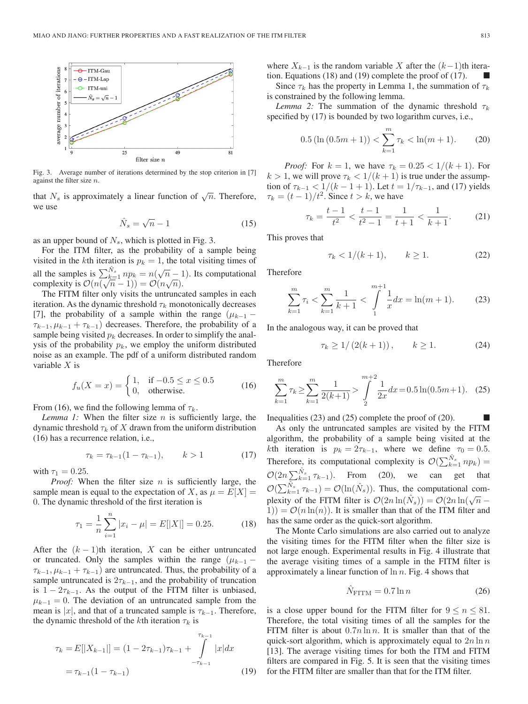

Fig. 3. Average number of iterations determined by the stop criterion in [7] against the filter size n.

that  $N_s$  is approximately a linear function of  $\sqrt{n}$ . Therefore, we use

$$
\hat{N}_s = \sqrt{n} - 1\tag{15}
$$

as an upper bound of  $N_s$ , which is plotted in Fig. 3.

For the ITM filter, as the probability of a sample being visited in the kth iteration is  $p_k = 1$ , the total visiting times of all the samples is  $\sum_{k=1}^{N_s} np_k = n(\sqrt{n-1})$ . Its computational an the samples is  $\sum_{k=1}^{\infty} n p_k = n(\sqrt{n-1})$ <br>complexity is  $\mathcal{O}(n(\sqrt{n}-1)) = \mathcal{O}(n\sqrt{n}).$ 

The FITM filter only visits the untruncated samples in each iteration. As the dynamic threshold  $\tau_k$  monotonically decreases [7], the probability of a sample within the range  $(\mu_{k-1} \tau_{k-1}, \mu_{k-1} + \tau_{k-1}$ ) decreases. Therefore, the probability of a sample being visited  $p_k$  decreases. In order to simplify the analysis of the probability  $p_k$ , we employ the uniform distributed noise as an example. The pdf of a uniform distributed random variable  $X$  is

$$
f_u(X = x) = \begin{cases} 1, & \text{if } -0.5 \le x \le 0.5 \\ 0, & \text{otherwise.} \end{cases}
$$
 (16)

From (16), we find the following lemma of  $\tau_k$ .

*Lemma 1:* When the filter size *n* is sufficiently large, the dynamic threshold  $\tau_k$  of X drawn from the uniform distribution (16) has a recurrence relation, i.e.,

$$
\tau_k = \tau_{k-1}(1 - \tau_{k-1}), \qquad k > 1 \tag{17}
$$

with  $\tau_1 = 0.25$ .

*Proof:* When the filter size *n* is sufficiently large, the sample mean is equal to the expectation of X, as  $\mu = E[X] =$ 0. The dynamic threshold of the first iteration is

$$
\tau_1 = \frac{1}{n} \sum_{i=1}^{n} |x_i - \mu| = E[|X|] = 0.25.
$$
 (18)

After the  $(k - 1)$ th iteration, X can be either untruncated or truncated. Only the samples within the range  $(\mu_{k-1} \tau_{k-1}, \mu_{k-1} + \tau_{k-1}$ ) are untruncated. Thus, the probability of a sample untruncated is  $2\tau_{k-1}$ , and the probability of truncation is  $1 - 2\tau_{k-1}$ . As the output of the FITM filter is unbiased,  $\mu_{k-1} = 0$ . The deviation of an untruncated sample from the mean is |x|, and that of a truncated sample is  $\tau_{k-1}$ . Therefore, the dynamic threshold of the kth iteration  $\tau_k$  is

$$
\tau_k = E[|X_{k-1}|] = (1 - 2\tau_{k-1})\tau_{k-1} + \int_{-\tau_{k-1}}^{\tau_{k-1}} |x| dx
$$
  
=  $\tau_{k-1}(1 - \tau_{k-1})$  (19)

where  $X_{k-1}$  is the random variable X after the  $(k-1)$ th iteration. Equations (18) and (19) complete the proof of (17).  $\Box$ 

Since  $\tau_k$  has the property in Lemma 1, the summation of  $\tau_k$ is constrained by the following lemma.

*Lemma 2:* The summation of the dynamic threshold  $\tau_k$ specified by (17) is bounded by two logarithm curves, i.e.,

$$
0.5\left(\ln\left(0.5m+1\right)\right) < \sum_{k=1}^{m} \tau_k < \ln(m+1). \tag{20}
$$

*Proof:* For  $k = 1$ , we have  $\tau_k = 0.25 < 1/(k+1)$ . For  $k > 1$ , we will prove  $\tau_k < 1/(k+1)$  is true under the assumption of  $\tau_{k-1} < 1/(k-1+1)$ . Let  $t = 1/\tau_{k-1}$ , and (17) yields  $\tau_k = (t-1)/t^2$ . Since  $t > k$ , we have

$$
\tau_k = \frac{t-1}{t^2} < \frac{t-1}{t^2 - 1} = \frac{1}{t+1} < \frac{1}{k+1}.\tag{21}
$$

This proves that

$$
\tau_k < 1/(k+1), \qquad k \ge 1. \tag{22}
$$

Therefore

$$
\sum_{k=1}^{m} \tau_i < \sum_{k=1}^{m} \frac{1}{k+1} < \int_{1}^{m+1} \frac{1}{x} dx = \ln(m+1). \tag{23}
$$

In the analogous way, it can be proved that

$$
\tau_k \ge 1/(2(k+1)), \qquad k \ge 1. \tag{24}
$$

Therefore

$$
\sum_{k=1}^{m} \tau_k \ge \sum_{k=1}^{m} \frac{1}{2(k+1)} > \int_{2}^{m+2} \frac{1}{2x} dx = 0.5 \ln(0.5m+1). \quad (25)
$$

Inequalities  $(23)$  and  $(25)$  complete the proof of  $(20)$ .

As only the untruncated samples are visited by the FITM algorithm, the probability of a sample being visited at the kth iteration is  $p_k = 2\tau_{k-1}$ , where we define  $\tau_0 = 0.5$ . Therefore, its computational complexity is  $\mathcal{O}(\sum_{k=1}^{\hat{N}_s} np_k)$  =  $\mathcal{O}(2n\sum_{k=1}^{\hat{N}_s}\tau_{k-1})$ . From (20), we can get that  $\mathcal{O}(\sum_{k=1}^{\hat{N}_s} \tau_{k-1}) = \mathcal{O}(\ln(\hat{N}_s))$ . Thus, the computational complexity of the FITM filter is  $\mathcal{O}(2n \ln(\hat{N}_s)) = \mathcal{O}(2n \ln(\sqrt{n} 1) = \mathcal{O}(n \ln(n))$ . It is smaller than that of the ITM filter and has the same order as the quick-sort algorithm.

The Monte Carlo simulations are also carried out to analyze the visiting times for the FITM filter when the filter size is not large enough. Experimental results in Fig. 4 illustrate that the average visiting times of a sample in the FITM filter is approximately a linear function of  $\ln n$ . Fig. 4 shows that

$$
\hat{N}_{\text{FITM}} = 0.7 \ln n \tag{26}
$$

is a close upper bound for the FITM filter for  $9 \le n \le 81$ . Therefore, the total visiting times of all the samples for the FITM filter is about  $0.7n \ln n$ . It is smaller than that of the quick-sort algorithm, which is approximately equal to  $2n \ln n$ [13]. The average visiting times for both the ITM and FITM filters are compared in Fig. 5. It is seen that the visiting times for the FITM filter are smaller than that for the ITM filter.